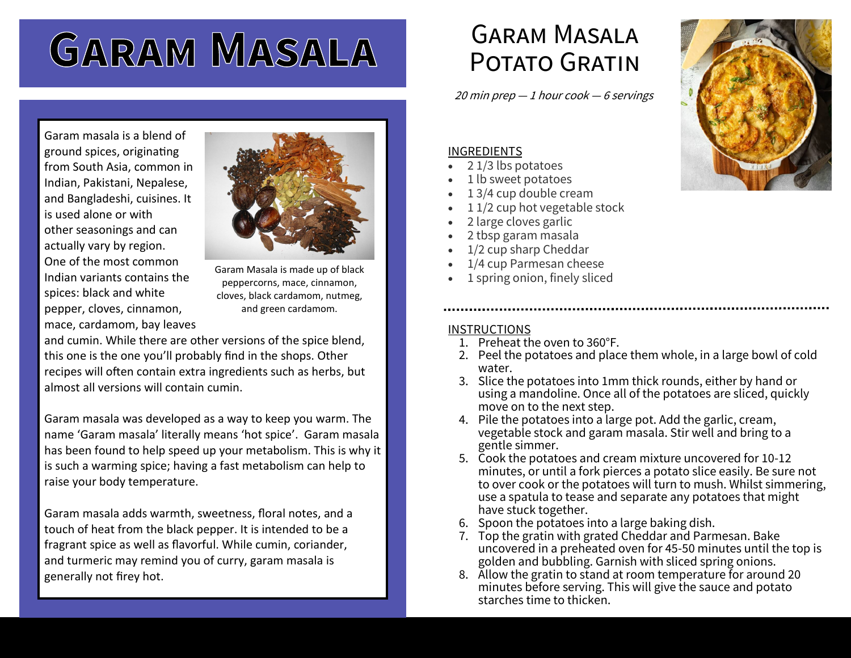# **GARAM MASALA**

Garam masala is a blend of ground spices, originating from South Asia, common in Indian, Pakistani, Nepalese, and Bangladeshi, cuisines. It is used alone or with other seasonings and can actually vary by region. One of the most common Indian variants contains the spices: black and white pepper, cloves, cinnamon, mace, cardamom, bay leaves



Garam Masala is made up of black peppercorns, mace, cinnamon, cloves, black cardamom, nutmeg, and green cardamom.

and cumin. While there are other versions of the spice blend, this one is the one you'll probably find in the shops. Other recipes will often contain extra ingredients such as herbs, but almost all versions will contain cumin.

Garam masala was developed as a way to keep you warm. The name 'Garam masala' literally means 'hot spice'. Garam masala has been found to help speed up your metabolism. This is why it is such a warming spice; having a fast metabolism can help to raise your body temperature.

Garam masala adds warmth, sweetness, floral notes, and a touch of heat from the black pepper. It is intended to be a fragrant spice as well as flavorful. While cumin, coriander, and turmeric may remind you of curry, garam masala is generally not firey hot.

# Garam Masala POTATO GRATIN

20 min prep  $-1$  hour cook  $-6$  servings

### INGREDIENTS

- 2 1/3 lbs potatoes
- 1 lb sweet potatoes
- 1 3/4 cup double cream
- 11/2 cup hot vegetable stock
- 2 large cloves garlic
- 2 tbsp garam masala
- 1/2 cup sharp Cheddar
- 1/4 cup Parmesan cheese
- 1 spring onion, finely sliced

### **INSTRUCTIONS**

- 1. Preheat the oven to 360°F.
- 2. Peel the potatoes and place them whole, in a large bowl of cold water.
- 3. Slice the potatoes into 1mm thick rounds, either by hand or using a mandoline. Once all of the potatoes are sliced, quickly move on to the next step.
- 4. Pile the potatoes into a large pot. Add the garlic, cream, vegetable stock and garam masala. Stir well and bring to a gentle simmer.
- 5. Cook the potatoes and cream mixture uncovered for 10-12 minutes, or until a fork pierces a potato slice easily. Be sure not to over cook or the potatoes will turn to mush. Whilst simmering, use a spatula to tease and separate any potatoes that might have stuck together.
- 6. Spoon the potatoes into a large baking dish.
- 7. Top the gratin with grated Cheddar and Parmesan. Bake uncovered in a preheated oven for 45-50 minutes until the top is golden and bubbling. Garnish with sliced spring onions.
- 8. Allow the gratin to stand at room temperature for around 20 minutes before serving. This will give the sauce and potato starches time to thicken.

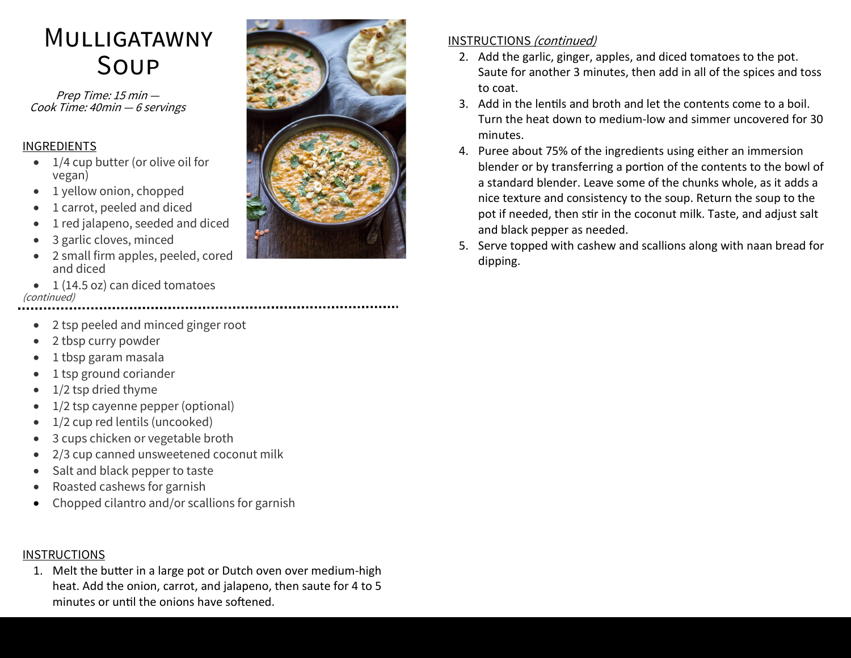## **MULLIGATAWNY** Soup

Prep Time: 15 min — Cook Time: 40min — 6 servings

### INGREDIENTS

- 1/4 cup butter (or olive oil for vegan)
- 1 yellow onion, chopped
- 1 carrot, peeled and diced
- 1 red jalapeno, seeded and diced
- 3 garlic cloves, minced
- 2 small firm apples, peeled, cored and diced
- 1 (14.5 oz) can diced tomatoes (continued)
	- 2 tsp peeled and minced ginger root
	- 2 tbsp curry powder
- 1 tbsp garam masala
- 1 tsp ground coriander
- 1/2 tsp dried thyme
- 1/2 tsp cayenne pepper (optional)
- 1/2 cup red lentils (uncooked)
- 3 cups chicken or vegetable broth
- 2/3 cup canned unsweetened coconut milk
- Salt and black pepper to taste
- Roasted cashews for garnish
- Chopped cilantro and/or scallions for garnish

### INSTRUCTIONS

1. Melt the butter in a large pot or Dutch oven over medium-high heat. Add the onion, carrot, and jalapeno, then saute for 4 to 5 minutes or until the onions have softened.



### INSTRUCTIONS (continued)

- 2. Add the garlic, ginger, apples, and diced tomatoes to the pot. Saute for another 3 minutes, then add in all of the spices and toss to coat.
- 3. Add in the lentils and broth and let the contents come to a boil. Turn the heat down to medium-low and simmer uncovered for 30 minutes.
- 4. Puree about 75% of the ingredients using either an immersion blender or by transferring a portion of the contents to the bowl of a standard blender. Leave some of the chunks whole, as it adds a nice texture and consistency to the soup. Return the soup to the pot if needed, then stir in the coconut milk. Taste, and adjust salt and black pepper as needed.
- 5. Serve topped with cashew and scallions along with naan bread for dipping.